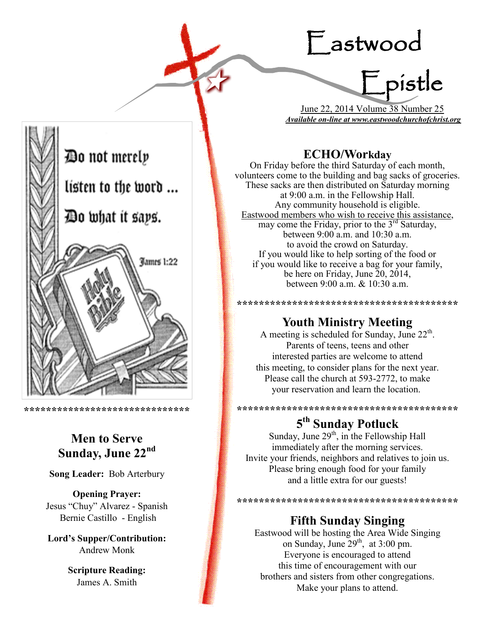# Eastwood



 June 22, 2014 Volume 38 Number 25 *Available on-line at www.eastwoodchurchofchrist.org*

## **ECHO/Workday**

On Friday before the third Saturday of each month, volunteers come to the building and bag sacks of groceries. These sacks are then distributed on Saturday morning at 9:00 a.m. in the Fellowship Hall. Any community household is eligible. Eastwood members who wish to receive this assistance, may come the Friday, prior to the 3<sup>rd</sup> Saturday, between 9:00 a.m. and 10:30 a.m. to avoid the crowd on Saturday. If you would like to help sorting of the food or if you would like to receive a bag for your family, be here on Friday, June 20, 2014, between 9:00 a.m. & 10:30 a.m.

# **Youth Ministry Meeting**

**\*\*\*\*\*\*\*\*\*\*\*\*\*\*\*\*\*\*\*\*\*\*\*\*\*\*\*\*\*\*\*\*\*\*\*\*\*\*\*\***

A meeting is scheduled for Sunday, June  $22<sup>th</sup>$ . Parents of teens, teens and other interested parties are welcome to attend this meeting, to consider plans for the next year. Please call the church at 593-2772, to make your reservation and learn the location.

\*\*\*\*\*\*\*\*\*\*\*\*\*\*\*\*\*\*\*\*\*\*\*\*\*\*\*\*\*\*\*\*\*\*

# **5 th Sunday Potluck**

Sunday, June  $29<sup>th</sup>$ , in the Fellowship Hall immediately after the morning services. Invite your friends, neighbors and relatives to join us. Please bring enough food for your family and a little extra for our guests!

**\*\*\*\*\*\*\*\*\*\*\*\*\*\*\*\*\*\*\*\*\*\*\*\*\*\*\*\*\*\*\*\*\*** 

# **Fifth Sunday Singing**

Eastwood will be hosting the Area Wide Singing on Sunday, June  $29<sup>th</sup>$ , at 3:00 pm. Everyone is encouraged to attend this time of encouragement with our brothers and sisters from other congregations. Make your plans to attend.



**\*\*\*\*\*\*\*\*\*\*\*\*\*\*\*\*\*\*\*\*\*\*\*\*\*\*\*\*\*\***

# **Men to Serve Sunday, June 22nd**

**Song Leader:** Bob Arterbury

**Opening Prayer:** Jesus "Chuy" Alvarez - Spanish Bernie Castillo - English

**Lord's Supper/Contribution:**  Andrew Monk

> **Scripture Reading:**  James A. Smith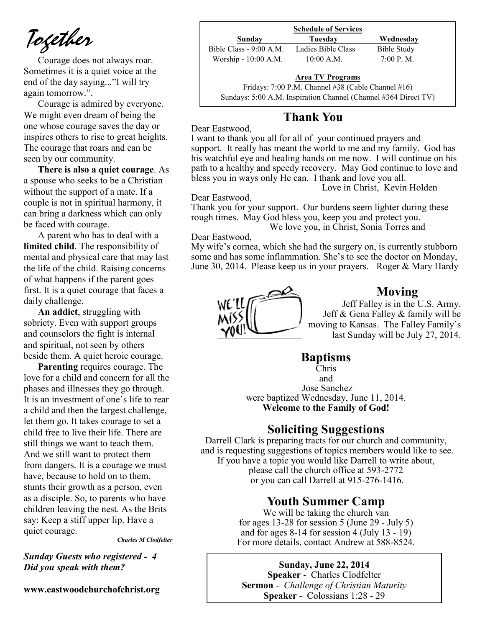*Together*

Courage does not always roar. Sometimes it is a quiet voice at the end of the day saying..."I will try again tomorrow.".

Courage is admired by everyone. We might even dream of being the one whose courage saves the day or inspires others to rise to great heights. The courage that roars and can be seen by our community.

**There is also a quiet courage**. As a spouse who seeks to be a Christian without the support of a mate. If a couple is not in spiritual harmony, it can bring a darkness which can only be faced with courage.

A parent who has to deal with a **limited child**. The responsibility of mental and physical care that may last the life of the child. Raising concerns of what happens if the parent goes first. It is a quiet courage that faces a daily challenge.

**An addict**, struggling with sobriety. Even with support groups and counselors the fight is internal and spiritual, not seen by others beside them. A quiet heroic courage.

**Parenting** requires courage. The love for a child and concern for all the phases and illnesses they go through. It is an investment of one's life to rear a child and then the largest challenge, let them go. It takes courage to set a child free to live their life. There are still things we want to teach them. And we still want to protect them from dangers. It is a courage we must have, because to hold on to them, stunts their growth as a person, even as a disciple. So, to parents who have children leaving the nest. As the Brits say: Keep a stiff upper lip. Have a quiet courage.

*Charles M Clodfelter*

*Sunday Guests who registered - 4 Did you speak with them?*

**www.eastwoodchurchofchrist.org**

|                         | <b>Schedule of Services</b> |             |
|-------------------------|-----------------------------|-------------|
| Sunday                  | Tuesday                     | Wednesday   |
| Bible Class - 9:00 A.M. | Ladies Bible Class          | Bible Study |
| Worship - 10:00 A.M.    | $10:00$ A.M.                | 7:00 P. M.  |

#### **Area TV Programs**

Area TV Programs<br>Fridays: 7:00 P.M. Channel #38 (Cable Channel #16) Sundays: 5:00 A.M. Inspiration Channel (Channel #364 Direct TV)

## **Thank You**

Dear Eastwood,

I want to thank you all for all of your continued prayers and support. It really has meant the world to me and my family. God has his watchful eye and healing hands on me now. I will continue on his path to a healthy and speedy recovery. May God continue to love and bless you in ways only He can. I thank and love you all.

Love in Christ, Kevin Holden

Dear Eastwood,

Thank you for your support. Our burdens seem lighter during these rough times. May God bless you, keep you and protect you. We love you, in Christ, Sonia Torres and

Dear Eastwood,

My wife's cornea, which she had the surgery on, is currently stubborn some and has some inflammation. She's to see the doctor on Monday, June 30, 2014. Please keep us in your prayers. Roger & Mary Hardy



## **Moving**

Jeff Falley is in the U.S. Army. Jeff & Gena Falley & family will be moving to Kansas. The Falley Family's last Sunday will be July 27, 2014.

## **Baptisms**

Chris and Jose Sanchez were baptized Wednesday, June 11, 2014. **Welcome to the Family of God!** 

## **Soliciting Suggestions**

Darrell Clark is preparing tracts for our church and community, and is requesting suggestions of topics members would like to see. If you have a topic you would like Darrell to write about, please call the church office at 593-2772 or you can call Darrell at 915-276-1416.

## **Youth Summer Camp**

We will be taking the church van for ages 13-28 for session  $5$  (June 29 - July  $5$ ) and for ages 8-14 for session 4 (July 13 - 19) For more details, contact Andrew at 588-8524.

**Sunday, June 22, 2014 Speaker** - Charles Clodfelter **Sermon** - *Challenge of Christian Maturity*  **Speaker** - Colossians 1:28 - 29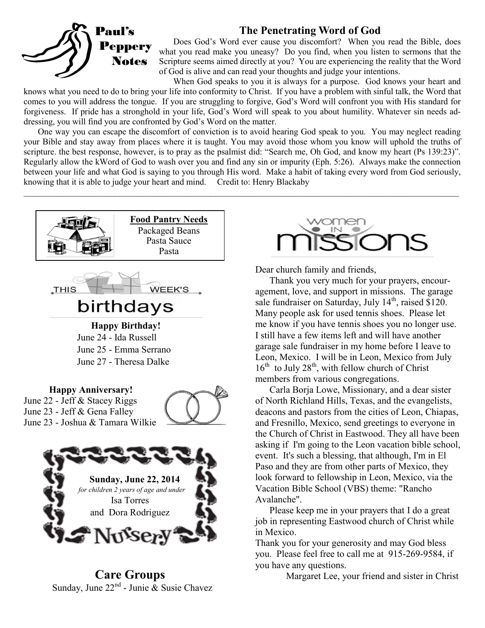## **The Penetrating Word of God**



Does God's Word ever cause you discomfort? When you read the Bible, does what you read make you uneasy? Do you find, when you listen to sermons that the Scripture seems aimed directly at you? You are experiencing the reality that the Word of God is alive and can read your thoughts and judge your intentions.

When God speaks to you it is always for a purpose. God knows your heart and knows what you need to do to bring your life into conformity to Christ. If you have a problem with sinful talk, the Word that comes to you will address the tongue. If you are struggling to forgive, God's Word will confront you with His standard for forgiveness. If pride has a stronghold in your life, God's Word will speak to you about humility. Whatever sin needs addressing, you will find you are confronted by God's Word on the matter.

One way you can escape the discomfort of conviction is to avoid hearing God speak to you. You may neglect reading your Bible and stay away from places where it is taught. You may avoid those whom you know will uphold the truths of scripture. the best response, however, is to pray as the psalmist did: "Search me, Oh God, and know my heart (Ps 139:23)". Regularly allow the kWord of God to wash over you and find any sin or impurity (Eph. 5:26). Always make the connection between your life and what God is saying to you through His word. Make a habit of taking every word from God seriously, knowing that it is able to judge your heart and mind. Credit to: Henry Blackaby

 $\_$ 



**Care Groups** Sunday, June 22<sup>nd</sup> - Junie & Susie Chavez



Dear church family and friends,

Thank you very much for your prayers, encouragement, love, and support in missions. The garage sale fundraiser on Saturday, July  $14<sup>th</sup>$ , raised \$120. Many people ask for used tennis shoes. Please let me know if you have tennis shoes you no longer use. I still have a few items left and will have another garage sale fundraiser in my home before I leave to Leon, Mexico. I will be in Leon, Mexico from July  $16<sup>th</sup>$  to July 28<sup>th</sup>, with fellow church of Christ members from various congregations.

Carla Borja Lowe, Missionary, and a dear sister of North Richland Hills, Texas, and the evangelists, deacons and pastors from the cities of Leon, Chiapas, and Fresnillo, Mexico, send greetings to everyone in the Church of Christ in Eastwood. They all have been asking if I'm going to the Leon vacation bible school, event. It's such a blessing, that although, I'm in El Paso and they are from other parts of Mexico, they look forward to fellowship in Leon, Mexico, via the Vacation Bible School (VBS) theme: "Rancho Avalanche".

Please keep me in your prayers that I do a great job in representing Eastwood church of Christ while in Mexico.

Thank you for your generosity and may God bless you. Please feel free to call me at 915-269-9584, if you have any questions.

Margaret Lee, your friend and sister in Christ